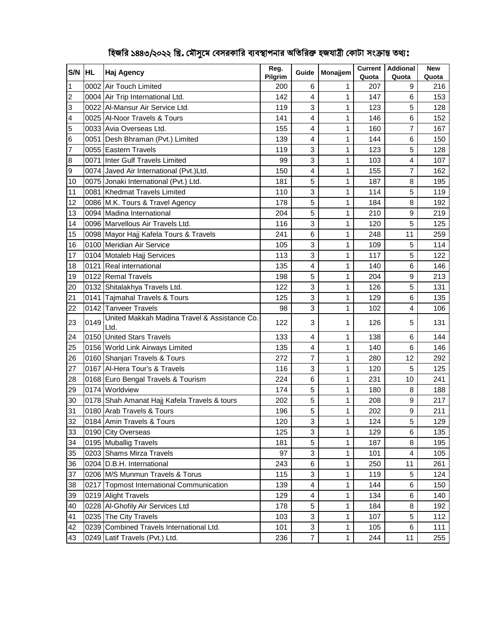| S/N                     | <b>IHL</b> | <b>Haj Agency</b>                                    | Reg.<br>Pilgrim | Guide                   | Monajjem | <b>Current</b><br>Quota | <b>Addional</b><br>Quota | <b>New</b><br>Quota |
|-------------------------|------------|------------------------------------------------------|-----------------|-------------------------|----------|-------------------------|--------------------------|---------------------|
| $\overline{1}$          |            | 0002 Air Touch Limited                               | 200             | 6                       | 1        | 207                     | 9                        | 216                 |
| $\overline{2}$          |            | 0004 Air Trip International Ltd.                     | 142             | 4                       | 1        | 147                     | 6                        | 153                 |
| 3                       |            | 0022 Al-Mansur Air Service Ltd.                      | 119             | 3                       | 1        | 123                     | 5                        | 128                 |
| $\overline{\mathbf{4}}$ |            | 0025 Al-Noor Travels & Tours                         | 141             | 4                       | 1        | 146                     | 6                        | 152                 |
| 5                       |            | 0033 Avia Overseas Ltd.                              | 155             | 4                       | 1        | 160                     | 7                        | 167                 |
| 6                       |            | 0051 Desh Bhraman (Pvt.) Limited                     | 139             | 4                       | 1        | 144                     | 6                        | 150                 |
| $\overline{7}$          |            | 0055 Eastern Travels                                 | 119             | 3                       | 1        | 123                     | 5                        | 128                 |
| $\boldsymbol{8}$        |            | 0071 Inter Gulf Travels Limited                      | 99              | 3                       | 1        | 103                     | 4                        | 107                 |
| 9                       |            | 0074 Javed Air International (Pvt.)Ltd.              | 150             | 4                       | 1        | 155                     | 7                        | 162                 |
| 10                      |            | 0075 Jonaki International (Pvt.) Ltd.                | 181             | 5                       | 1        | 187                     | 8                        | 195                 |
| 11                      |            | 0081 Khedmat Travels Limited                         | 110             | 3                       | 1        | 114                     | 5                        | 119                 |
| 12                      |            | 0086 M.K. Tours & Travel Agency                      | 178             | 5                       | 1        | 184                     | 8                        | 192                 |
| 13                      |            | 0094 Madina International                            | 204             | 5                       | 1        | 210                     | 9                        | 219                 |
| 14                      |            | 0096 Marvellous Air Travels Ltd.                     | 116             | 3                       | 1        | 120                     | 5                        | 125                 |
| 15                      |            | 0098 Mayor Hajj Kafela Tours & Travels               | 241             | 6                       | 1        | 248                     | 11                       | 259                 |
| 16                      |            | 0100 Meridian Air Service                            | 105             | 3                       | 1        | 109                     | 5                        | 114                 |
| 17                      |            | 0104 Motaleb Hajj Services                           | 113             | 3                       | 1        | 117                     | 5                        | 122                 |
| 18                      |            | 0121 Real international                              | 135             | 4                       | 1        | 140                     | 6                        | 146                 |
| 19                      |            | 0122 Remal Travels                                   | 198             | 5                       | 1        | 204                     | 9                        | 213                 |
| 20                      |            | 0132 Shitalakhya Travels Ltd.                        | 122             | 3                       | 1        | 126                     | 5                        | 131                 |
| 21                      |            | 0141 Tajmahal Travels & Tours                        | 125             | 3                       | 1        | 129                     | 6                        | 135                 |
| 22                      |            | 0142 Tanveer Travels                                 | 98              | 3                       | 1        | 102                     | 4                        | 106                 |
| 23                      | 0149       | United Makkah Madina Travel & Assistance Co.<br>Ltd. | 122             | 3                       | 1        | 126                     | 5                        | 131                 |
| 24                      |            | 0150 United Stars Travels                            | 133             | 4                       | 1        | 138                     | 6                        | 144                 |
| 25                      |            | 0156 World Link Airways Limited                      | 135             | 4                       | 1        | 140                     | 6                        | 146                 |
| 26                      |            | 0160 Shanjari Travels & Tours                        | 272             | 7                       | 1        | 280                     | 12                       | 292                 |
| 27                      |            | 0167 Al-Hera Tour's & Travels                        | 116             | 3                       | 1        | 120                     | 5                        | 125                 |
| 28                      |            | 0168 Euro Bengal Travels & Tourism                   | 224             | 6                       | 1        | 231                     | 10                       | 241                 |
| 29                      |            | 0174 Worldview                                       | 174             | 5                       | 1        | 180                     | 8                        | 188                 |
| 30                      |            | 0178 Shah Amanat Hajj Kafela Travels & tours         | 202             | 5                       | 1        | 208                     | 9                        | 217                 |
| 31                      |            | 0180 Arab Travels & Tours                            | 196             | 5                       | 1        | 202                     | 9                        | 211                 |
| 32                      |            | 0184 Amin Travels & Tours                            | 120             | 3                       | 1        | 124                     | 5                        | 129                 |
| 33                      |            | 0190 City Overseas                                   | 125             | 3                       | 1        | 129                     | 6                        | 135                 |
| 34                      |            | 0195 Muballig Travels                                | 181             | 5                       | 1        | 187                     | 8                        | 195                 |
| 35                      |            | 0203 Shams Mirza Travels                             | 97              | 3                       | 1        | 101                     | 4                        | 105                 |
| 36                      |            | 0204 D.B.H. International                            | 243             | 6                       | 1        | 250                     | 11                       | 261                 |
| 37                      |            | 0206 M/S Munmun Travels & Torus                      | 115             | 3                       | 1        | 119                     | 5                        | 124                 |
| 38                      |            | 0217 Topmost International Communication             | 139             | $\overline{\mathbf{4}}$ | 1        | 144                     | 6                        | 150                 |
| 39                      |            | 0219 Alight Travels                                  | 129             | 4                       | 1        | 134                     | 6                        | 140                 |
| 40                      |            | 0228 Al-Ghofily Air Services Ltd                     | 178             | 5                       | 1        | 184                     | 8                        | 192                 |
| 41                      |            | 0235 The City Travels                                | 103             | 3                       | 1        | 107                     | 5                        | 112                 |
| 42                      |            | 0239 Combined Travels International Ltd.             | 101             | 3                       | 1        | 105                     | 6                        | 111                 |
| 43                      |            | 0249 Latif Travels (Pvt.) Ltd.                       | 236             | $\overline{7}$          | 1        | 244                     | 11                       | 255                 |

## হিজরি ১৪৪৩/২০২২ খ্রি. মৌসুমে বেসরকারি ব্যবস্থাপনার অতিরিক্ত হজযাত্রী কোটা সংক্রান্ত তথ্য: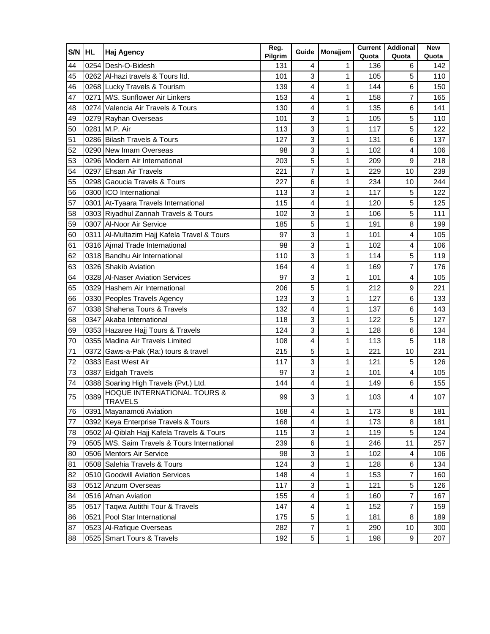| S/N | <b>HL</b> | <b>Haj Agency</b>                                                                                                             | Reg.<br>Pilgrim | Guide          | Monajjem | Quota | <b>Current   Addional</b><br>Quota | <b>New</b><br>Quota |
|-----|-----------|-------------------------------------------------------------------------------------------------------------------------------|-----------------|----------------|----------|-------|------------------------------------|---------------------|
| 44  |           | 0254 Desh-O-Bidesh                                                                                                            | 131             | 4              | 1        | 136   | 6                                  | 142                 |
| 45  |           | 0262 Al-hazi travels & Tours ltd.                                                                                             | 101             | 3              | 1        | 105   | 5                                  | 110                 |
| 46  |           | 0268 Lucky Travels & Tourism                                                                                                  | 139             | 4              | 1        | 144   | 6                                  | 150                 |
| 47  |           | 0271 M/S. Sunflower Air Linkers                                                                                               | 153             | 4              | 1        | 158   | 7                                  | 165                 |
| 48  |           | 0274 Valencia Air Travels & Tours                                                                                             | 130             | 4              | 1        | 135   | 6                                  | 141                 |
| 49  |           | 0279 Rayhan Overseas                                                                                                          | 101             | 3              | 1        | 105   | 5                                  | 110                 |
| 50  |           | 0281 M.P. Air                                                                                                                 | 113             | 3              | 1        | 117   | 5                                  | 122                 |
| 51  |           | 0286 Bilash Travels & Tours                                                                                                   | 127             | 3              | 1        | 131   | 6                                  | 137                 |
| 52  |           | 0290 New Imam Overseas                                                                                                        | 98              | 3              | 1        | 102   | 4                                  | 106                 |
| 53  |           | 0296 Modern Air International                                                                                                 | 203             | 5              | 1        | 209   | 9                                  | 218                 |
| 54  |           | 0297 Ehsan Air Travels                                                                                                        | 221             | $\overline{7}$ | 1        | 229   | 10                                 | 239                 |
| 55  |           | 0298 Gaoucia Travels & Tours                                                                                                  | 227             | 6              | 1        | 234   | 10                                 | 244                 |
| 56  |           | 0300 ICO International                                                                                                        | 113             | 3              | 1        | 117   | 5                                  | 122                 |
| 57  |           | 0301 At-Tyaara Travels International                                                                                          | 115             | $\overline{4}$ | 1        | 120   | 5                                  | 125                 |
| 58  |           | 0303 Riyadhul Zannah Travels & Tours                                                                                          | 102             | 3              | 1        | 106   | 5                                  | 111                 |
| 59  |           | 0307 Al-Noor Air Service                                                                                                      | 185             | 5              | 1        | 191   | 8                                  | 199                 |
| 60  |           | 0311 Al-Multazim Hajj Kafela Travel & Tours                                                                                   | 97              | 3              | 1        | 101   | 4                                  | 105                 |
| 61  |           | 0316 Ajmal Trade International                                                                                                | 98              | 3              | 1        | 102   | 4                                  | 106                 |
| 62  |           | 0318 Bandhu Air International                                                                                                 | 110             | 3              | 1        | 114   | 5                                  | 119                 |
| 63  |           | 0326 Shakib Aviation                                                                                                          | 164             | 4              | 1        | 169   | 7                                  | 176                 |
| 64  |           | 0328 Al-Naser Aviation Services                                                                                               | 97              | 3              | 1        | 101   | 4                                  | 105                 |
| 65  |           | 0329 Hashem Air International                                                                                                 | 206             | 5              | 1        | 212   | 9                                  | 221                 |
| 66  |           | 0330 Peoples Travels Agency                                                                                                   | 123             | 3              | 1        | 127   | 6                                  | 133                 |
| 67  |           | 0338 Shahena Tours & Travels                                                                                                  | 132             | 4              | 1        | 137   | 6                                  | 143                 |
| 68  |           | 0347 Akaba International                                                                                                      | 118             | 3              | 1        | 122   | 5                                  | 127                 |
| 69  |           | 0353 Hazaree Hajj Tours & Travels                                                                                             | 124             | 3              | 1        | 128   | 6                                  | 134                 |
| 70  |           | 0355 Madina Air Travels Limited                                                                                               | 108             | 4              | 1        | 113   | 5                                  | 118                 |
| 71  |           | 0372 Gaws-a-Pak (Ra:) tours & travel                                                                                          | 215             | 5              | 1        | 221   | 10                                 | 231                 |
| 72  |           | 0383 East West Air                                                                                                            | 117             | 3              | 1        | 121   | 5                                  | 126                 |
| 73  |           | 0387 Eidgah Travels                                                                                                           | 97              | 3              | 1        | 101   | 4                                  | 105                 |
| 74  |           | 0388 Soaring High Travels (Pvt.) Ltd.                                                                                         | 144             | 4              | 1        | 149   | 6                                  | 155                 |
| 75  |           | <b>HOQUE INTERNATIONAL TOURS &amp;</b><br>$\begin{array}{r}\n 0389 \\ \hline\n \text{TRAVELS} \\ \hline\n 0369\n \end{array}$ | 99              | 3              | 1        | 103   | 4                                  | 107                 |
| 76  |           | 0391 Mayanamoti Aviation                                                                                                      | 168             | 4              | 1        | 173   | 8                                  | 181                 |
| 77  |           | 0392 Keya Enterprise Travels & Tours                                                                                          | 168             | 4              | 1        | 173   | 8                                  | 181                 |
| 78  |           | 0502 Al-Qiblah Hajj Kafela Travels & Tours                                                                                    | 115             | 3              | 1        | 119   | 5                                  | 124                 |
| 79  |           | 0505 M/S. Saim Travels & Tours International                                                                                  | 239             | 6              | 1        | 246   | 11                                 | 257                 |
| 80  |           | 0506 Mentors Air Service                                                                                                      | 98              | 3              | 1        | 102   | 4                                  | 106                 |
| 81  |           | 0508 Salehia Travels & Tours                                                                                                  | 124             | 3              | 1        | 128   | 6                                  | 134                 |
| 82  |           | 0510 Goodwill Aviation Services                                                                                               | 148             | 4              | 1        | 153   | 7                                  | 160                 |
| 83  |           | 0512 Anzum Overseas                                                                                                           | 117             | 3              | 1        | 121   | 5                                  | 126                 |
| 84  |           | 0516 Afnan Aviation                                                                                                           | 155             | 4              | 1        | 160   | 7                                  | 167                 |
| 85  |           | 0517 Taqwa Autithi Tour & Travels                                                                                             | 147             | 4              | 1        | 152   | 7                                  | 159                 |
| 86  |           | 0521 Pool Star International                                                                                                  | 175             | 5              | 1        | 181   | 8                                  | 189                 |
| 87  |           | 0523 Al-Rafique Overseas                                                                                                      | 282             | $\overline{7}$ | 1        | 290   | 10                                 | 300                 |
| 88  |           | 0525 Smart Tours & Travels                                                                                                    | 192             | 5              | 1        | 198   | 9                                  | 207                 |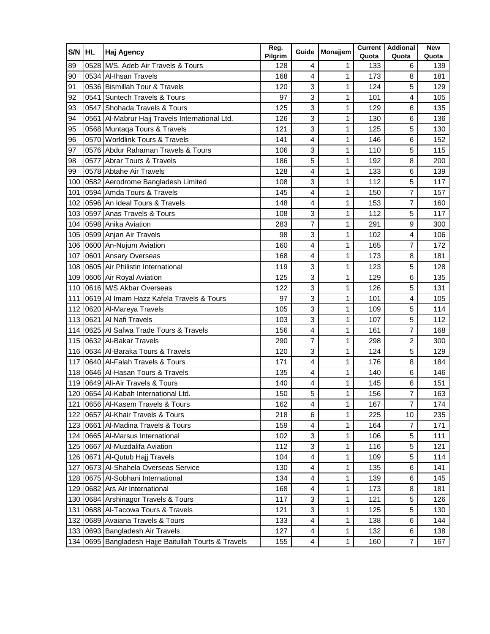| S/N | <b>HL</b> | Haj Agency                                       | Reg.<br>Pilgrim | Guide                   | Monajjem | Quota | <b>Current   Addional</b><br>Quota | <b>New</b><br>Quota |
|-----|-----------|--------------------------------------------------|-----------------|-------------------------|----------|-------|------------------------------------|---------------------|
| 89  |           | 0528 M/S. Adeb Air Travels & Tours               | 128             | 4                       | 1        | 133   | 6                                  | 139                 |
| 90  |           | 0534 Al-Ihsan Travels                            | 168             | 4                       | 1        | 173   | 8                                  | 181                 |
| 91  |           | 0536 Bismillah Tour & Travels                    | 120             | 3                       | 1        | 124   | 5                                  | 129                 |
| 92  |           | 0541 Suntech Travels & Tours                     | 97              | 3                       | 1        | 101   | 4                                  | 105                 |
| 93  |           | 0547 Shohada Travels & Tours                     | 125             | 3                       | 1        | 129   | 6                                  | 135                 |
| 94  |           | 0561 Al-Mabrur Hajj Travels International Ltd.   | 126             | 3                       | 1        | 130   | 6                                  | 136                 |
| 95  |           | 0568 Muntaqa Tours & Travels                     | 121             | 3                       | 1        | 125   | 5                                  | 130                 |
| 96  |           | 0570 Worldlink Tours & Travels                   | 141             | $\overline{\mathbf{4}}$ | 1        | 146   | 6                                  | 152                 |
| 97  |           | 0576 Abdur Rahaman Travels & Tours               | 106             | 3                       | 1        | 110   | 5                                  | 115                 |
| 98  |           | 0577 Abrar Tours & Travels                       | 186             | 5                       | 1        | 192   | 8                                  | 200                 |
| 99  |           | 0578 Abtahe Air Travels                          | 128             | 4                       | 1        | 133   | $\,6$                              | 139                 |
| 100 |           | 0582 Aerodrome Bangladesh Limited                | 108             | 3                       | 1        | 112   | 5                                  | 117                 |
| 101 |           | 0594 Amda Tours & Travels                        | 145             | 4                       | 1        | 150   | 7                                  | 157                 |
| 102 |           | 0596 An Ideal Tours & Travels                    | 148             | 4                       | 1        | 153   | $\overline{7}$                     | 160                 |
| 103 |           | 0597 Anas Travels & Tours                        | 108             | 3                       | 1        | 112   | 5                                  | 117                 |
| 104 |           | 0598 Anika Aviation                              | 283             | $\overline{7}$          | 1        | 291   | 9                                  | 300                 |
| 105 |           | 0599 Anjan Air Travels                           | 98              | 3                       | 1        | 102   | 4                                  | 106                 |
| 106 |           | 0600 An-Nujum Aviation                           | 160             | 4                       | 1        | 165   | 7                                  | 172                 |
| 107 |           | 0601 Ansary Overseas                             | 168             | 4                       | 1        | 173   | 8                                  | 181                 |
| 108 |           | 0605 Air Philistin International                 | 119             | 3                       | 1        | 123   | 5                                  | 128                 |
| 109 |           | 0606 Air Royal Aviation                          | 125             | 3                       | 1        | 129   | 6                                  | 135                 |
| 110 |           | 0616 M/S Akbar Overseas                          | 122             | 3                       | 1        | 126   | 5                                  | 131                 |
| 111 |           | 0619 Al Imam Hazz Kafela Travels & Tours         | 97              | 3                       | 1        | 101   | 4                                  | 105                 |
| 112 |           | 0620 Al-Mareya Travels                           | 105             | 3                       | 1        | 109   | 5                                  | 114                 |
| 113 |           | 0621 Al Nafi Travels                             | 103             | 3                       | 1        | 107   | 5                                  | 112                 |
| 114 |           | 0625 Al Safwa Trade Tours & Travels              | 156             | 4                       | 1        | 161   | 7                                  | 168                 |
| 115 |           | 0632 Al-Bakar Travels                            | 290             | 7                       | 1        | 298   | $\overline{c}$                     | 300                 |
| 116 |           | 0634 Al-Baraka Tours & Travels                   | 120             | 3                       | 1        | 124   | 5                                  | 129                 |
| 117 |           | 0640 Al-Falah Travels & Tours                    | 171             | 4                       | 1        | 176   | 8                                  | 184                 |
| 118 |           | 0646 Al-Hasan Tours & Travels                    | 135             | 4                       | 1        | 140   | 6                                  | 146                 |
| 119 |           | 0649 Ali-Air Travels & Tours                     | 140             | 4                       | 1        | 145   | $\,6$                              | 151                 |
| 120 |           | 0654 Al-Kabah International Ltd.                 | 150             | 5                       | 1        | 156   | $\overline{7}$                     | 163                 |
| 121 |           | 0656 Al-Kasem Travels & Tours                    | 162             | 4                       | 1        | 167   | 7                                  | 174                 |
|     |           | 122 0657 Al-Khair Travels & Tours                | 218             | 6                       | 1        | 225   | 10                                 | 235                 |
| 123 |           | 0661 Al-Madina Travels & Tours                   | 159             | 4                       | 1        | 164   | $\overline{7}$                     | 171                 |
| 124 |           | 0665 Al-Marsus International                     | 102             | 3                       | 1        | 106   | 5                                  | 111                 |
| 125 |           | 0667 Al-Muzdalifa Aviation                       | 112             | 3                       | 1        | 116   | 5                                  | 121                 |
| 126 |           | 0671 Al-Qutub Hajj Travels                       | 104             | 4                       | 1        | 109   | 5                                  | 114                 |
| 127 |           | 0673 Al-Shahela Overseas Service                 | 130             | 4                       | 1        | 135   | 6                                  | 141                 |
| 128 |           | 0675 Al-Sobhani International                    | 134             | 4                       | 1        | 139   | 6                                  | 145                 |
| 129 |           | 0682 Ars Air International                       | 168             | 4                       | 1        | 173   | 8                                  | 181                 |
| 130 |           | 0684 Arshinagor Travels & Tours                  | 117             | 3                       | 1        | 121   | 5                                  | 126                 |
| 131 |           | 0688 Al-Tacowa Tours & Travels                   | 121             | 3                       | 1        | 125   | 5                                  | 130                 |
| 132 |           | 0689 Avaiana Travels & Tours                     | 133             | 4                       | 1        | 138   | 6                                  | 144                 |
| 133 |           | 0693 Bangladesh Air Travels                      | 127             | 4                       | 1        | 132   | 6                                  | 138                 |
| 134 |           | 0695 Bangladesh Hajje Baitullah Tourts & Travels | 155             | 4                       | 1        | 160   | 7                                  | 167                 |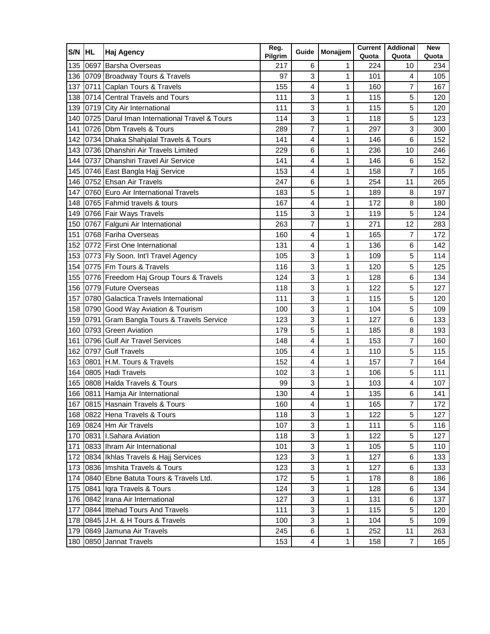| S/N | <b>HL</b> | <b>Haj Agency</b>                            | Reg.<br>Pilgrim | Guide          | Monajjem | Quota | <b>Current Addional</b><br>Quota | <b>New</b><br>Quota |
|-----|-----------|----------------------------------------------|-----------------|----------------|----------|-------|----------------------------------|---------------------|
| 135 |           | 0697 Barsha Overseas                         | 217             | 6              | 1        | 224   | 10                               | 234                 |
| 136 |           | 0709 Broadway Tours & Travels                | 97              | 3              | 1        | 101   | 4                                | 105                 |
| 137 |           | 0711 Caplan Tours & Travels                  | 155             | 4              | 1        | 160   | 7                                | 167                 |
| 138 |           | 0714 Central Travels and Tours               | 111             | 3              | 1        | 115   | 5                                | 120                 |
| 139 |           | 0719 City Air International                  | 111             | 3              | 1        | 115   | 5                                | 120                 |
| 140 |           | 0725 Darul Iman International Travel & Tours | 114             | 3              | 1        | 118   | 5                                | 123                 |
| 141 |           | 0726 Dbm Travels & Tours                     | 289             | 7              | 1        | 297   | 3                                | 300                 |
| 142 |           | 0734 Dhaka Shahjalal Travels & Tours         | 141             | 4              | 1        | 146   | 6                                | 152                 |
| 143 |           | 0736 Dhanshiri Air Travels Limited           | 229             | 6              | 1        | 236   | 10                               | 246                 |
| 144 |           | 0737 Dhanshiri Travel Air Service            | 141             | 4              | 1        | 146   | 6                                | 152                 |
| 145 |           | 0746 East Bangla Hajj Service                | 153             | 4              | 1        | 158   | $\overline{7}$                   | 165                 |
| 146 |           | 0752 Ehsan Air Travels                       | 247             | 6              | 1        | 254   | 11                               | 265                 |
| 147 |           | 0760 Euro Air International Travels          | 183             | 5              | 1        | 189   | 8                                | 197                 |
| 148 |           | 0765 Fahmid travels & tours                  | 167             | $\overline{4}$ | 1        | 172   | 8                                | 180                 |
| 149 |           | 0766 Fair Ways Travels                       | 115             | 3              | 1        | 119   | 5                                | 124                 |
| 150 |           | 0767 Falguni Air International               | 263             | $\overline{7}$ | 1        | 271   | 12                               | 283                 |
| 151 |           | 0768 Fariha Overseas                         | 160             | 4              | 1        | 165   | 7                                | 172                 |
| 152 |           | 0772 First One International                 | 131             | 4              | 1        | 136   | 6                                | 142                 |
| 153 |           | 0773 Fly Soon. Int'l Travel Agency           | 105             | 3              | 1        | 109   | 5                                | 114                 |
| 154 |           | 0775 Fm Tours & Travels                      | 116             | 3              | 1        | 120   | 5                                | 125                 |
| 155 |           | 0776 Freedom Haj Group Tours & Travels       | 124             | 3              | 1        | 128   | 6                                | 134                 |
| 156 |           | 0779 Future Overseas                         | 118             | 3              | 1        | 122   | 5                                | 127                 |
| 157 |           | 0780 Galactica Travels International         | 111             | 3              | 1        | 115   | 5                                | 120                 |
| 158 |           | 0790 Good Way Aviation & Tourism             | 100             | 3              | 1        | 104   | 5                                | 109                 |
| 159 |           | 0791 Gram Bangla Tours & Travels Service     | 123             | 3              | 1        | 127   | 6                                | 133                 |
| 160 |           | 0793 Green Aviation                          | 179             | 5              | 1        | 185   | 8                                | 193                 |
| 161 |           | 0796 Gulf Air Travel Services                | 148             | 4              | 1        | 153   | 7                                | 160                 |
| 162 |           | 0797 Gulf Travels                            | 105             | 4              | 1        | 110   | 5                                | 115                 |
| 163 |           | 0801 H.M. Tours & Travels                    | 152             | 4              | 1        | 157   | 7                                | 164                 |
| 164 |           | 0805 Hadi Travels                            | 102             | 3              | 1        | 106   | 5                                | 111                 |
| 165 |           | 0808 Halda Travels & Tours                   | 99              | 3              | 1        | 103   | 4                                | 107                 |
| 166 |           | 0811 Hamja Air International                 | 130             | 4              | 1        | 135   | 6                                | 141                 |
|     |           | 167 0815 Hasnain Travels & Tours             | 160             | 4              | 1        | 165   | 7                                | 172                 |
|     |           | 168 0822 Hena Travels & Tours                | 118             | 3              | 1        | 122   | 5                                | 127                 |
|     |           | 169 0824 Hm Air Travels                      | 107             | 3              | 1        | 111   | 5                                | 116                 |
| 170 |           | 0831 I.Sahara Aviation                       | 118             | 3              | 1        | 122   | 5                                | 127                 |
| 171 |           | 0833 Ihram Air International                 | 101             | 3              | 1        | 105   | 5                                | 110                 |
| 172 |           | 0834 Ikhlas Travels & Hajj Services          | 123             | 3              | 1        | 127   | 6                                | 133                 |
| 173 |           | 0836 Imshita Travels & Tours                 | 123             | 3              | 1        | 127   | 6                                | 133                 |
| 174 |           | 0840 Ebne Batuta Tours & Travels Ltd.        | 172             | 5              | 1        | 178   | 8                                | 186                 |
| 175 |           | 0841 Igra Travels & Tours                    | 124             | 3              | 1        | 128   | 6                                | 134                 |
| 176 |           | 0842 Irana Air International                 | 127             | 3              | 1        | 131   | 6                                | 137                 |
| 177 |           | 0844 Ittehad Tours And Travels               | 111             | 3              | 1        | 115   | 5                                | 120                 |
| 178 |           | 0845 J.H. & H Tours & Travels                | 100             | 3              | 1        | 104   | 5                                | 109                 |
| 179 |           | 0849 Jamuna Air Travels                      | 245             | 6              | 1        | 252   | 11                               | 263                 |
| 180 |           | 0850 Jannat Travels                          | 153             | 4              | 1        | 158   | $\overline{7}$                   | 165                 |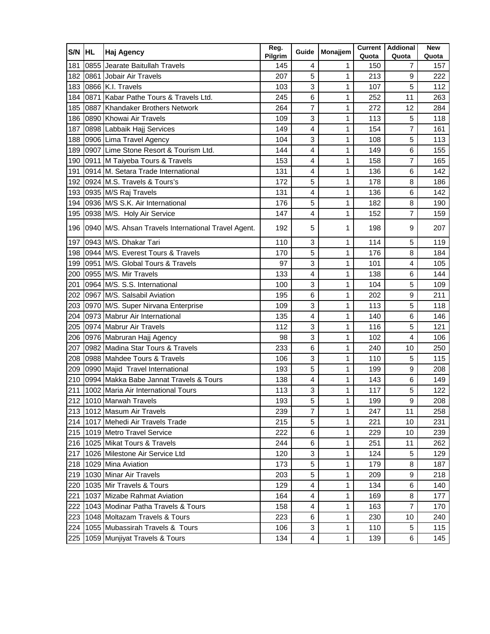| S/N | <b>IHL</b> | <b>Haj Agency</b>                                   | Reg.<br>Pilgrim | Guide                   | Monajjem | <b>Current</b><br>Quota | <b>Addional</b><br>Quota | <b>New</b><br>Quota |
|-----|------------|-----------------------------------------------------|-----------------|-------------------------|----------|-------------------------|--------------------------|---------------------|
| 181 |            | 0855 Jearate Baitullah Travels                      | 145             | 4                       | 1        | 150                     | $\overline{7}$           | 157                 |
| 182 |            | 0861 Jobair Air Travels                             | 207             | 5                       | 1        | 213                     | 9                        | 222                 |
| 183 |            | 0866 K.I. Travels                                   | 103             | 3                       | 1        | 107                     | 5                        | 112                 |
| 184 |            | 0871 Kabar Pathe Tours & Travels Ltd.               | 245             | 6                       | 1        | 252                     | 11                       | 263                 |
| 185 |            | 0887 Khandaker Brothers Network                     | 264             | $\overline{7}$          | 1        | 272                     | 12                       | 284                 |
| 186 |            | 0890 Khowai Air Travels                             | 109             | 3                       | 1        | 113                     | 5                        | 118                 |
| 187 |            | 0898 Labbaik Hajj Services                          | 149             | 4                       | 1        | 154                     | $\overline{7}$           | 161                 |
| 188 |            | 0906 Lima Travel Agency                             | 104             | 3                       | 1        | 108                     | 5                        | 113                 |
| 189 |            | 0907 Lime Stone Resort & Tourism Ltd.               | 144             | $\overline{4}$          | 1        | 149                     | 6                        | 155                 |
| 190 |            | 0911 M Taiyeba Tours & Travels                      | 153             | 4                       | 1        | 158                     | 7                        | 165                 |
| 191 |            | 0914 M. Setara Trade International                  | 131             | 4                       | 1        | 136                     | 6                        | 142                 |
| 192 |            | 0924 M.S. Travels & Tours's                         | 172             | 5                       | 1        | 178                     | 8                        | 186                 |
| 193 |            | 0935 M/S Raj Travels                                | 131             | 4                       | 1        | 136                     | 6                        | 142                 |
| 194 |            | 0936 M/S S.K. Air International                     | 176             | 5                       | 1        | 182                     | 8                        | 190                 |
| 195 |            | 0938 M/S. Holy Air Service                          | 147             | 4                       | 1        | 152                     | $\overline{7}$           | 159                 |
| 196 |            | 0940 M/S. Ahsan Travels International Travel Agent. | 192             | 5                       | 1        | 198                     | 9                        | 207                 |
| 197 |            | 0943 M/S. Dhakar Tari                               | 110             | 3                       | 1        | 114                     | 5                        | 119                 |
| 198 |            | 0944 M/S. Everest Tours & Travels                   | 170             | 5                       | 1        | 176                     | 8                        | 184                 |
| 199 |            | 0951 M/S. Global Tours & Travels                    | 97              | 3                       | 1        | 101                     | $\overline{4}$           | 105                 |
| 200 |            | 0955 M/S. Mir Travels                               | 133             | 4                       | 1        | 138                     | 6                        | 144                 |
| 201 |            | 0964 M/S. S.S. International                        | 100             | 3                       | 1        | 104                     | 5                        | 109                 |
| 202 |            | 0967 M/S. Salsabil Aviation                         | 195             | 6                       | 1        | 202                     | 9                        | 211                 |
| 203 |            | 0970 M/S. Super Nirvana Enterprise                  | 109             | 3                       | 1        | 113                     | 5                        | 118                 |
| 204 |            | 0973 Mabrur Air International                       | 135             | 4                       | 1        | 140                     | 6                        | 146                 |
| 205 |            | 0974 Mabrur Air Travels                             | 112             | 3                       | 1        | 116                     | 5                        | 121                 |
| 206 |            | 0976 Mabruran Hajj Agency                           | 98              | 3                       | 1        | 102                     | 4                        | 106                 |
| 207 |            | 0982 Madina Star Tours & Travels                    | 233             | 6                       | 1        | 240                     | 10                       | 250                 |
| 208 |            | 0988 Mahdee Tours & Travels                         | 106             | 3                       | 1        | 110                     | 5                        | 115                 |
| 209 |            | 0990 Majid Travel International                     | 193             | 5                       | 1        | 199                     | 9                        | 208                 |
| 210 |            | 0994 Makka Babe Jannat Travels & Tours              | 138             | 4                       | 1        | 143                     | 6                        | 149                 |
| 211 |            | 1002 Maria Air International Tours                  | 113             | 3                       | 1        | 117                     | 5                        | 122                 |
|     |            | 212 1010 Marwah Travels                             | 193             | 5                       | 1        | 199                     | q                        | 208                 |
|     |            | 213 1012 Masum Air Travels                          | 239             | $\overline{7}$          | 1        | 247                     | 11                       | 258                 |
| 214 |            | 1017 Mehedi Air Travels Trade                       | 215             | 5                       | 1        | 221                     | 10                       | 231                 |
|     |            | 215 1019 Metro Travel Service                       | 222             | 6                       | 1        | 229                     | 10                       | 239                 |
| 216 |            | 1025 Mikat Tours & Travels                          | 244             | 6                       | 1        | 251                     | 11                       | 262.                |
| 217 |            | 1026 Milestone Air Service Ltd                      | 120             | 3                       | 1        | 124                     | 5                        | 129                 |
| 218 |            | 1029 Mina Aviation                                  | 173             | 5                       | 1        | 179                     | 8                        | 187                 |
| 219 |            | 1030 Minar Air Travels                              | 203             | 5                       | 1        | 209                     | 9                        | 218                 |
| 220 |            | 1035 Mir Travels & Tours                            | 129             | $\overline{\mathbf{4}}$ | 1        | 134                     | 6                        | 140                 |
| 221 |            | 1037 Mizabe Rahmat Aviation                         | 164             | 4                       | 1        | 169                     | 8                        | 177                 |
| 222 |            | 1043 Modinar Patha Travels & Tours                  | 158             | 4                       | 1        | 163                     | $\overline{7}$           | 170                 |
| 223 |            | 1048 Moltazam Travels & Tours                       | 223             | 6                       | 1        | 230                     | 10                       | 240                 |
| 224 |            | 1055 Mubassirah Travels & Tours                     | 106             | 3                       | 1        | 110                     | 5                        | 115                 |
| 225 |            | 1059 Munjiyat Travels & Tours                       | 134             | 4                       | 1        | 139                     | 6                        | 145                 |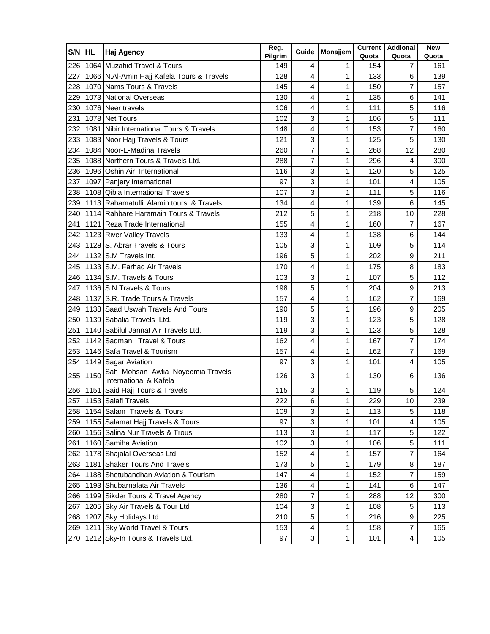| S/N HL |      | <b>Haj Agency</b>                                           | Reg.<br>Pilgrim | Guide                   | Monajjem     | Quota | <b>Current   Addional</b><br>Quota | <b>New</b><br>Quota |
|--------|------|-------------------------------------------------------------|-----------------|-------------------------|--------------|-------|------------------------------------|---------------------|
| 226    |      | 1064 Muzahid Travel & Tours                                 | 149             | 4                       | 1            | 154   | 7                                  | 161                 |
| 227    |      | 1066 N.Al-Amin Hajj Kafela Tours & Travels                  | 128             | 4                       | 1            | 133   | 6                                  | 139                 |
| 228    |      | 1070 Nams Tours & Travels                                   | 145             | $\overline{4}$          | 1            | 150   | $\overline{7}$                     | 157                 |
| 229    |      | 1073 National Overseas                                      | 130             | 4                       | 1            | 135   | 6                                  | 141                 |
| 230    |      | 1076 Neer travels                                           | 106             | 4                       | 1            | 111   | 5                                  | 116                 |
| 231    |      | 1078 Net Tours                                              | 102             | 3                       | 1            | 106   | 5                                  | 111                 |
| 232    |      | 1081 Nibir International Tours & Travels                    | 148             | 4                       | 1            | 153   | 7                                  | 160                 |
| 233    |      | 1083 Noor Hajj Travels & Tours                              | 121             | 3                       | 1            | 125   | 5                                  | 130                 |
| 234    |      | 1084 Noor-E-Madina Travels                                  | 260             | 7                       | 1            | 268   | 12                                 | 280                 |
| 235    |      | 1088 Northern Tours & Travels Ltd.                          | 288             | 7                       | 1            | 296   | 4                                  | 300                 |
| 236    |      | 1096 Oshin Air International                                | 116             | 3                       | 1            | 120   | 5                                  | 125                 |
| 237    |      | 1097 Panjery International                                  | 97              | 3                       | 1            | 101   | 4                                  | 105                 |
| 238    |      | 1108 Qibla International Travels                            | 107             | 3                       | 1            | 111   | 5                                  | 116                 |
| 239    |      | 1113 Rahamatullil Alamin tours & Travels                    | 134             | $\overline{4}$          | 1            | 139   | 6                                  | 145                 |
| 240    |      | 1114 Rahbare Haramain Tours & Travels                       | 212             | 5                       | 1            | 218   | 10                                 | 228                 |
| 241    |      | 1121 Reza Trade International                               | 155             | 4                       | 1            | 160   | $\overline{7}$                     | 167                 |
| 242    |      | 1123 River Valley Travels                                   | 133             | 4                       | 1            | 138   | 6                                  | 144                 |
| 243    |      | 1128 S. Abrar Travels & Tours                               | 105             | 3                       | 1            | 109   | 5                                  | 114                 |
| 244    |      | 1132 S.M Travels Int.                                       | 196             | 5                       | 1            | 202   | 9                                  | 211                 |
| 245    |      | 1133 S.M. Farhad Air Travels                                | 170             | 4                       | 1            | 175   | 8                                  | 183                 |
| 246    |      | 1134 S.M. Travels & Tours                                   | 103             | 3                       | 1            | 107   | 5                                  | 112                 |
| 247    |      | 1136 S.N Travels & Tours                                    | 198             | 5                       | 1            | 204   | 9                                  | 213                 |
| 248    |      | 1137 S.R. Trade Tours & Travels                             | 157             | $\overline{\mathbf{4}}$ | 1            | 162   | 7                                  | 169                 |
| 249    |      | 1138 Saad Uswah Travels And Tours                           | 190             | 5                       | 1            | 196   | 9                                  | 205                 |
| 250    |      | 1139 Sabalia Travels Ltd.                                   | 119             | 3                       | 1            | 123   | 5                                  | 128                 |
| 251    |      | 1140 Sabilul Jannat Air Travels Ltd.                        | 119             | 3                       | 1            | 123   | 5                                  | 128                 |
| 252    |      | 1142 Sadman Travel & Tours                                  | 162             | 4                       | 1            | 167   | $\overline{7}$                     | 174                 |
| 253    |      | 1146 Safa Travel & Tourism                                  | 157             | 4                       | 1            | 162   | $\overline{7}$                     | 169                 |
| 254    |      | 1149 Sagar Aviation                                         | 97              | 3                       | 1            | 101   | 4                                  | 105                 |
| 255    | 1150 | Sah Mohsan Awlia Noyeemia Travels<br>International & Kafela | 126             | 3                       | 1            | 130   | 6                                  | 136                 |
|        |      | 256 1151 Said Hajj Tours & Travels                          | 115             | 3                       | 1            | 119   | 5                                  | 124                 |
|        |      | 257 1153 Salafi Travels                                     | 222             | 6                       | $\mathbf{1}$ | 229   | $10$                               | 239                 |
|        |      | 258 1154 Salam Travels & Tours                              | 109             | 3                       | 1            | 113   | 5                                  | 118                 |
| 259    |      | 1155 Salamat Hajj Travels & Tours                           | 97              | 3                       | 1            | 101   | 4                                  | 105                 |
| 260    |      | 1156 Salina Nur Travels & Trous                             | 113             | 3                       | 1            | 117   | 5                                  | 122                 |
| 261    |      | 1160 Samiha Aviation                                        | 102             | 3                       | 1            | 106   | 5                                  | 111                 |
| 262    |      | 1178 Shajalal Overseas Ltd.                                 | 152             | 4                       | 1            | 157   | 7                                  | 164                 |
| 263    |      | 1181 Shaker Tours And Travels                               | 173             | 5                       | 1            | 179   | 8                                  | 187                 |
| 264    |      | 1188 Shetubandhan Aviation & Tourism                        | 147             | 4                       | 1            | 152   | 7                                  | 159                 |
| 265    |      | 1193 Shubarnalata Air Travels                               | 136             | $\overline{\mathbf{4}}$ | 1            | 141   | 6                                  | 147                 |
| 266    |      | 1199 Sikder Tours & Travel Agency                           | 280             | 7                       | 1            | 288   | 12                                 | 300                 |
| 267    |      | 1205 Sky Air Travels & Tour Ltd                             | 104             | 3                       | 1            | 108   | 5                                  | 113                 |
| 268    |      | 1207 Sky Holidays Ltd.                                      | 210             | 5                       | 1            | 216   | 9                                  | 225                 |
| 269    |      | 1211 Sky World Travel & Tours                               | 153             | 4                       | 1            | 158   | $\overline{7}$                     | 165                 |
| 270    |      | 1212 Sky-In Tours & Travels Ltd.                            | 97              | 3                       | 1            | 101   | $\overline{4}$                     | 105                 |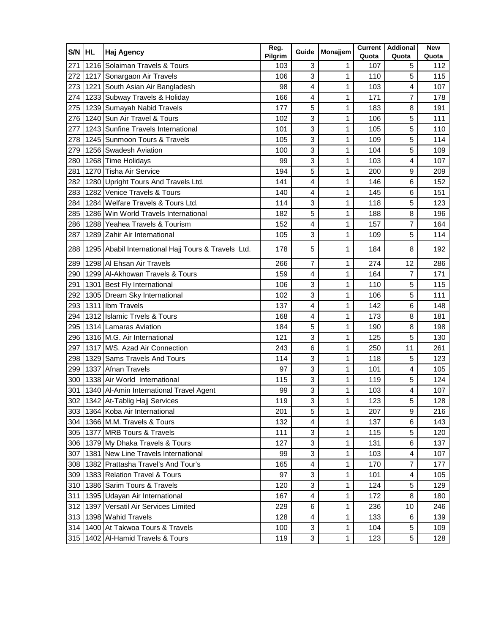| S/N | <b>HL</b> | <b>Haj Agency</b>                                   | Reg.<br>Pilgrim | Guide          | Monajjem | Quota | <b>Current   Addional</b><br>Quota | <b>New</b><br>Quota |
|-----|-----------|-----------------------------------------------------|-----------------|----------------|----------|-------|------------------------------------|---------------------|
| 271 |           | 1216 Solaiman Travels & Tours                       | 103             | 3              | 1        | 107   | 5                                  | 112                 |
| 272 |           | 1217 Sonargaon Air Travels                          | 106             | 3              | 1        | 110   | 5                                  | 115                 |
| 273 |           | 1221 South Asian Air Bangladesh                     | 98              | 4              | 1        | 103   | 4                                  | 107                 |
| 274 |           | 1233 Subway Travels & Holiday                       | 166             | 4              | 1        | 171   | 7                                  | 178                 |
| 275 |           | 1239 Sumayah Nabid Travels                          | 177             | 5              | 1        | 183   | 8                                  | 191                 |
| 276 |           | 1240 Sun Air Travel & Tours                         | 102             | 3              | 1        | 106   | 5                                  | 111                 |
| 277 |           | 1243 Sunfine Travels International                  | 101             | 3              | 1        | 105   | 5                                  | 110                 |
| 278 |           | 1245 Sunmoon Tours & Travels                        | 105             | 3              | 1        | 109   | 5                                  | 114                 |
| 279 |           | 1256 Swadesh Aviation                               | 100             | 3              | 1        | 104   | 5                                  | 109                 |
| 280 |           | 1268 Time Holidays                                  | 99              | 3              | 1        | 103   | 4                                  | 107                 |
| 281 |           | 1270 Tisha Air Service                              | 194             | 5              | 1        | 200   | 9                                  | 209                 |
| 282 |           | 1280 Upright Tours And Travels Ltd.                 | 141             | 4              | 1        | 146   | 6                                  | 152                 |
| 283 |           | 1282 Venice Travels & Tours                         | 140             | 4              | 1        | 145   | 6                                  | 151                 |
| 284 |           | 1284 Welfare Travels & Tours Ltd.                   | 114             | 3              | 1        | 118   | 5                                  | 123                 |
| 285 |           | 1286 Win World Travels International                | 182             | 5              | 1        | 188   | 8                                  | 196                 |
| 286 |           | 1288 Yeahea Travels & Tourism                       | 152             | 4              | 1        | 157   | 7                                  | 164                 |
| 287 |           | 1289 Zahir Air International                        | 105             | 3              | 1        | 109   | 5                                  | 114                 |
| 288 |           | 1295 Ababil International Hajj Tours & Travels Ltd. | 178             | 5              | 1        | 184   | 8                                  | 192                 |
| 289 |           | 1298 AI Ehsan Air Travels                           | 266             | $\overline{7}$ | 1        | 274   | 12                                 | 286                 |
| 290 |           | 1299 Al-Akhowan Travels & Tours                     | 159             | 4              | 1        | 164   | $\overline{7}$                     | 171                 |
| 291 |           | 1301 Best Fly International                         | 106             | 3              | 1        | 110   | 5                                  | 115                 |
| 292 |           | 1305 Dream Sky International                        | 102             | 3              | 1        | 106   | 5                                  | 111                 |
| 293 |           | 1311 Ibm Travels                                    | 137             | 4              | 1        | 142   | 6                                  | 148                 |
| 294 |           | 1312 Islamic Trvels & Tours                         | 168             | 4              | 1        | 173   | 8                                  | 181                 |
| 295 |           | 1314 Lamaras Aviation                               | 184             | 5              | 1        | 190   | 8                                  | 198                 |
| 296 |           | 1316 M.G. Air International                         | 121             | 3              | 1        | 125   | 5                                  | 130                 |
| 297 |           | 1317 M/S. Azad Air Connection                       | 243             | 6              | 1        | 250   | 11                                 | 261                 |
| 298 |           | 1329 Sams Travels And Tours                         | 114             | 3              | 1        | 118   | 5                                  | 123                 |
| 299 |           | 1337 Afnan Travels                                  | 97              | 3              | 1        | 101   | 4                                  | 105                 |
| 300 |           | 1338 Air World International                        | 115             | 3              | 1        | 119   | 5                                  | 124                 |
| 301 |           | 1340 Al-Amin International Travel Agent             | 99              | 3              | 1        | 103   | 4                                  | 107                 |
|     |           | 302 1342 At-Tablig Hajj Services                    | 119             | ર              | 1        | 123   | 5                                  | 128                 |
|     |           | 303 1364 Koba Air International                     | 201             | 5              | 1        | 207   | 9                                  | 216                 |
|     |           | 304 1366 M.M. Travels & Tours                       | 132             | 4              | 1        | 137   | 6                                  | 143                 |
|     |           | 305 1377 MRB Tours & Travels                        | 111             | 3              | 1        | 115   | 5                                  | 120                 |
|     |           | 306 1379 My Dhaka Travels & Tours                   | 127             | 3              | 1        | 131   | 6                                  | 137                 |
|     |           | 307 1381 New Line Travels International             | 99              | 3              | 1        | 103   | 4                                  | 107                 |
|     |           | 308 1382 Prattasha Travel's And Tour's              | 165             | 4              | 1        | 170   | 7                                  | 177                 |
|     |           | 309 1383 Relation Travel & Tours                    | 97              | 3              | 1        | 101   | $\overline{\mathbf{4}}$            | 105                 |
|     |           | 310 1386 Sarim Tours & Travels                      | 120             | 3              | 1        | 124   | 5                                  | 129                 |
| 311 |           | 1395 Udayan Air International                       | 167             | 4              | 1        | 172   | 8                                  | 180                 |
|     |           | 312 1397 Versatil Air Services Limited              | 229             | 6              | 1        | 236   | 10                                 | 246                 |
|     |           | 313 1398 Wahid Travels                              | 128             | 4              | 1        | 133   | 6                                  | 139                 |
| 314 |           | 1400 At Takwoa Tours & Travels                      | 100             | 3              | 1        | 104   | 5                                  | 109                 |
|     |           | 315 1402 Al-Hamid Travels & Tours                   | 119             | 3              | 1        | 123   | 5                                  | 128                 |